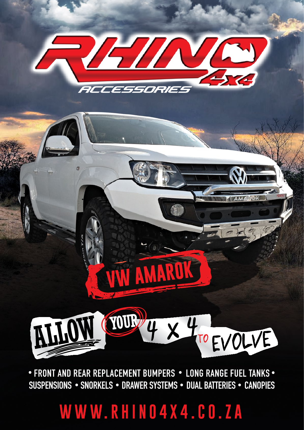# **WWW.RHINO4X4.CO.ZA**

• FRONT AND REAR REPLACEMENT BUMPERS • LONG RANGE FUEL TANKS • SUSPENSIONS • SNORKELS • DRAWER SYSTEMS • DUAL BATTERIES • CANOPIES



**AMARU**